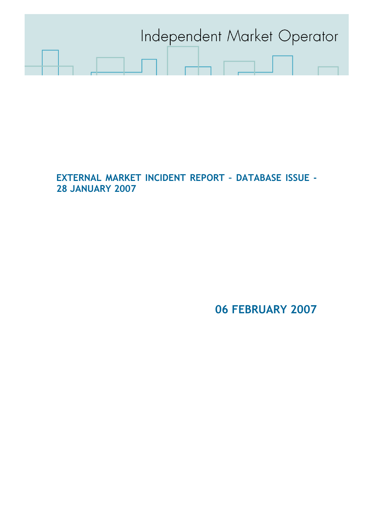

EXTERNAL MARKET INCIDENT REPORT – DATABASE ISSUE - 28 JANUARY 2007

06 FEBRUARY 2007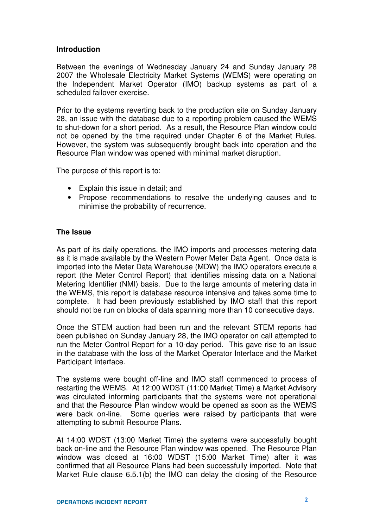## **Introduction**

Between the evenings of Wednesday January 24 and Sunday January 28 2007 the Wholesale Electricity Market Systems (WEMS) were operating on the Independent Market Operator (IMO) backup systems as part of a scheduled failover exercise.

Prior to the systems reverting back to the production site on Sunday January 28, an issue with the database due to a reporting problem caused the WEMS to shut-down for a short period. As a result, the Resource Plan window could not be opened by the time required under Chapter 6 of the Market Rules. However, the system was subsequently brought back into operation and the Resource Plan window was opened with minimal market disruption.

The purpose of this report is to:

- Explain this issue in detail; and
- Propose recommendations to resolve the underlying causes and to minimise the probability of recurrence.

## **The Issue**

As part of its daily operations, the IMO imports and processes metering data as it is made available by the Western Power Meter Data Agent. Once data is imported into the Meter Data Warehouse (MDW) the IMO operators execute a report (the Meter Control Report) that identifies missing data on a National Metering Identifier (NMI) basis. Due to the large amounts of metering data in the WEMS, this report is database resource intensive and takes some time to complete. It had been previously established by IMO staff that this report should not be run on blocks of data spanning more than 10 consecutive days.

Once the STEM auction had been run and the relevant STEM reports had been published on Sunday January 28, the IMO operator on call attempted to run the Meter Control Report for a 10-day period. This gave rise to an issue in the database with the loss of the Market Operator Interface and the Market Participant Interface.

The systems were bought off-line and IMO staff commenced to process of restarting the WEMS. At 12:00 WDST (11:00 Market Time) a Market Advisory was circulated informing participants that the systems were not operational and that the Resource Plan window would be opened as soon as the WEMS were back on-line. Some queries were raised by participants that were attempting to submit Resource Plans.

At 14:00 WDST (13:00 Market Time) the systems were successfully bought back on-line and the Resource Plan window was opened. The Resource Plan window was closed at 16:00 WDST (15:00 Market Time) after it was confirmed that all Resource Plans had been successfully imported. Note that Market Rule clause 6.5.1(b) the IMO can delay the closing of the Resource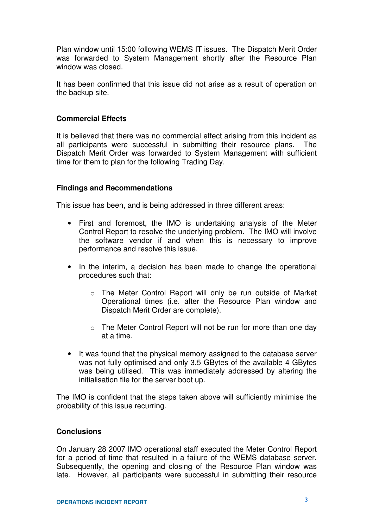Plan window until 15:00 following WEMS IT issues. The Dispatch Merit Order was forwarded to System Management shortly after the Resource Plan window was closed.

It has been confirmed that this issue did not arise as a result of operation on the backup site.

# **Commercial Effects**

It is believed that there was no commercial effect arising from this incident as all participants were successful in submitting their resource plans. The Dispatch Merit Order was forwarded to System Management with sufficient time for them to plan for the following Trading Day.

## **Findings and Recommendations**

This issue has been, and is being addressed in three different areas:

- First and foremost, the IMO is undertaking analysis of the Meter Control Report to resolve the underlying problem. The IMO will involve the software vendor if and when this is necessary to improve performance and resolve this issue.
- In the interim, a decision has been made to change the operational procedures such that:
	- o The Meter Control Report will only be run outside of Market Operational times (i.e. after the Resource Plan window and Dispatch Merit Order are complete).
	- o The Meter Control Report will not be run for more than one day at a time.
- It was found that the physical memory assigned to the database server was not fully optimised and only 3.5 GBytes of the available 4 GBytes was being utilised. This was immediately addressed by altering the initialisation file for the server boot up.

The IMO is confident that the steps taken above will sufficiently minimise the probability of this issue recurring.

## **Conclusions**

On January 28 2007 IMO operational staff executed the Meter Control Report for a period of time that resulted in a failure of the WEMS database server. Subsequently, the opening and closing of the Resource Plan window was late. However, all participants were successful in submitting their resource